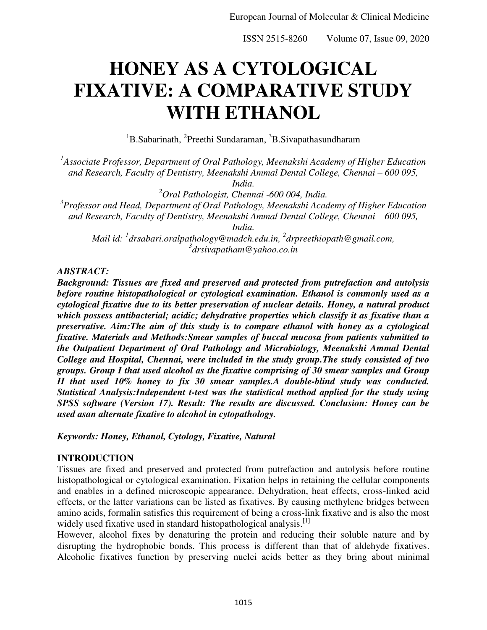# **HONEY AS A CYTOLOGICAL FIXATIVE: A COMPARATIVE STUDY WITH ETHANOL**

<sup>1</sup>B.Sabarinath, <sup>2</sup>Preethi Sundaraman, <sup>3</sup>B.Sivapathasundharam

<sup>1</sup> Associate Professor, Department of Oral Pathology, Meenakshi Academy of Higher Education *and Research, Faculty of Dentistry, Meenakshi Ammal Dental College, Chennai – 600 095,* 

*India.* 

*<sup>2</sup>Oral Pathologist, Chennai -600 004, India.* 

*3 Professor and Head, Department of Oral Pathology, Meenakshi Academy of Higher Education and Research, Faculty of Dentistry, Meenakshi Ammal Dental College, Chennai – 600 095, India.* 

*Mail id: <sup>1</sup> [drsabari.oralpathology@madch.edu.in,](mailto:drsabari.oralpathology@madch.edu.in) <sup>2</sup> [drpreethiopath@gmail.com,](mailto:2drpreethiopath@gmail.com) 3 drsivapatham@yahoo.co.in*

### *ABSTRACT:*

*Background: Tissues are fixed and preserved and protected from putrefaction and autolysis before routine histopathological or cytological examination. Ethanol is commonly used as a cytological fixative due to its better preservation of nuclear details. Honey, a natural product which possess antibacterial; acidic; dehydrative properties which classify it as fixative than a preservative. Aim:The aim of this study is to compare ethanol with honey as a cytological fixative. Materials and Methods:Smear samples of buccal mucosa from patients submitted to the Outpatient Department of Oral Pathology and Microbiology, Meenakshi Ammal Dental College and Hospital, Chennai, were included in the study group.The study consisted of two groups. Group I that used alcohol as the fixative comprising of 30 smear samples and Group II that used 10% honey to fix 30 smear samples.A double-blind study was conducted. Statistical Analysis:Independent t-test was the statistical method applied for the study using SPSS software (Version 17). Result: The results are discussed. Conclusion: Honey can be used asan alternate fixative to alcohol in cytopathology.* 

*Keywords: Honey, Ethanol, Cytology, Fixative, Natural* 

# **INTRODUCTION**

Tissues are fixed and preserved and protected from putrefaction and autolysis before routine histopathological or cytological examination. Fixation helps in retaining the cellular components and enables in a defined microscopic appearance. Dehydration, heat effects, cross-linked acid effects, or the latter variations can be listed as fixatives. By causing methylene bridges between amino acids, formalin satisfies this requirement of being a cross-link fixative and is also the most widely used fixative used in standard histopathological analysis.<sup>[1]</sup>

However, alcohol fixes by denaturing the protein and reducing their soluble nature and by disrupting the hydrophobic bonds. This process is different than that of aldehyde fixatives. Alcoholic fixatives function by preserving nuclei acids better as they bring about minimal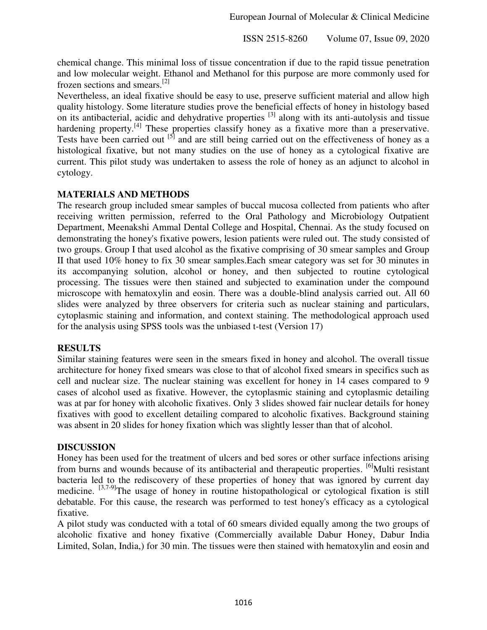chemical change. This minimal loss of tissue concentration if due to the rapid tissue penetration and low molecular weight. Ethanol and Methanol for this purpose are more commonly used for frozen sections and smears.[2]

Nevertheless, an ideal fixative should be easy to use, preserve sufficient material and allow high quality histology. Some literature studies prove the beneficial effects of honey in histology based on its antibacterial, acidic and dehydrative properties <sup>[3]</sup> along with its anti-autolysis and tissue hardening property.<sup>[4]</sup> These properties classify honey as a fixative more than a preservative. Tests have been carried out [5] and are still being carried out on the effectiveness of honey as a histological fixative, but not many studies on the use of honey as a cytological fixative are current. This pilot study was undertaken to assess the role of honey as an adjunct to alcohol in cytology.

### **MATERIALS AND METHODS**

The research group included smear samples of buccal mucosa collected from patients who after receiving written permission, referred to the Oral Pathology and Microbiology Outpatient Department, Meenakshi Ammal Dental College and Hospital, Chennai. As the study focused on demonstrating the honey's fixative powers, lesion patients were ruled out. The study consisted of two groups. Group I that used alcohol as the fixative comprising of 30 smear samples and Group II that used 10% honey to fix 30 smear samples.Each smear category was set for 30 minutes in its accompanying solution, alcohol or honey, and then subjected to routine cytological processing. The tissues were then stained and subjected to examination under the compound microscope with hematoxylin and eosin. There was a double-blind analysis carried out. All 60 slides were analyzed by three observers for criteria such as nuclear staining and particulars, cytoplasmic staining and information, and context staining. The methodological approach used for the analysis using SPSS tools was the unbiased t-test (Version 17)

### **RESULTS**

Similar staining features were seen in the smears fixed in honey and alcohol. The overall tissue architecture for honey fixed smears was close to that of alcohol fixed smears in specifics such as cell and nuclear size. The nuclear staining was excellent for honey in 14 cases compared to 9 cases of alcohol used as fixative. However, the cytoplasmic staining and cytoplasmic detailing was at par for honey with alcoholic fixatives. Only 3 slides showed fair nuclear details for honey fixatives with good to excellent detailing compared to alcoholic fixatives. Background staining was absent in 20 slides for honey fixation which was slightly lesser than that of alcohol.

### **DISCUSSION**

Honey has been used for the treatment of ulcers and bed sores or other surface infections arising from burns and wounds because of its antibacterial and therapeutic properties. <sup>[6]</sup>Multi resistant bacteria led to the rediscovery of these properties of honey that was ignored by current day medicine. <sup>[3,7-9]</sup>The usage of honey in routine histopathological or cytological fixation is still debatable. For this cause, the research was performed to test honey's efficacy as a cytological fixative.

A pilot study was conducted with a total of 60 smears divided equally among the two groups of alcoholic fixative and honey fixative (Commercially available Dabur Honey, Dabur India Limited, Solan, India,) for 30 min. The tissues were then stained with hematoxylin and eosin and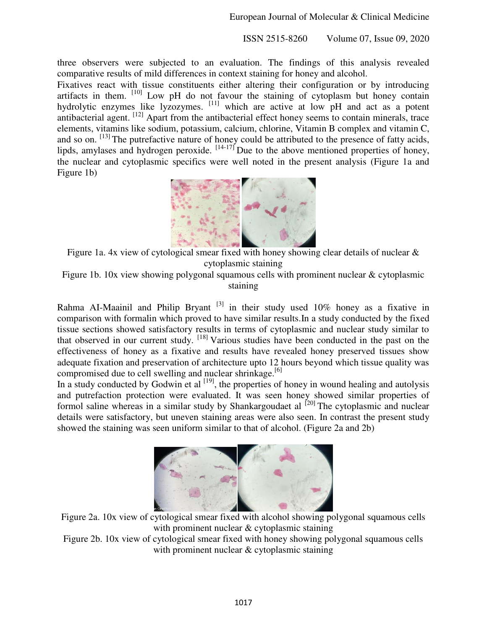three observers were subjected to an evaluation. The findings of this analysis revealed comparative results of mild differences in context staining for honey and alcohol.

Fixatives react with tissue constituents either altering their configuration or by introducing artifacts in them.  $[10]$  Low pH do not favour the staining of cytoplasm but honey contain hydrolytic enzymes like lyzozymes. <sup>[11]</sup> which are active at low pH and act as a potent antibacterial agent. <sup>[12]</sup> Apart from the antibacterial effect honey seems to contain minerals, trace elements, vitamins like sodium, potassium, calcium, chlorine, Vitamin B complex and vitamin C, and so on. [13] The putrefactive nature of honey could be attributed to the presence of fatty acids, lipds, amylases and hydrogen peroxide.  $[14-17]$  Due to the above mentioned properties of honey, the nuclear and cytoplasmic specifics were well noted in the present analysis (Figure 1a and Figure 1b)



Figure 1a. 4x view of cytological smear fixed with honey showing clear details of nuclear & cytoplasmic staining

Figure 1b. 10x view showing polygonal squamous cells with prominent nuclear & cytoplasmic staining

Rahma AI-Maainil and Philip Bryant<sup>[3]</sup> in their study used  $10\%$  honey as a fixative in comparison with formalin which proved to have similar results.In a study conducted by the fixed tissue sections showed satisfactory results in terms of cytoplasmic and nuclear study similar to that observed in our current study. [18] Various studies have been conducted in the past on the effectiveness of honey as a fixative and results have revealed honey preserved tissues show adequate fixation and preservation of architecture upto 12 hours beyond which tissue quality was compromised due to cell swelling and nuclear shrinkage.<sup>[6]</sup>

In a study conducted by Godwin et al  $^{[19]}$ , the properties of honey in wound healing and autolysis and putrefaction protection were evaluated. It was seen honey showed similar properties of formol saline whereas in a similar study by Shankargoudaet al  $^{[20]}$  The cytoplasmic and nuclear details were satisfactory, but uneven staining areas were also seen. In contrast the present study showed the staining was seen uniform similar to that of alcohol. (Figure 2a and 2b)



Figure 2a. 10x view of cytological smear fixed with alcohol showing polygonal squamous cells with prominent nuclear & cytoplasmic staining

Figure 2b. 10x view of cytological smear fixed with honey showing polygonal squamous cells with prominent nuclear & cytoplasmic staining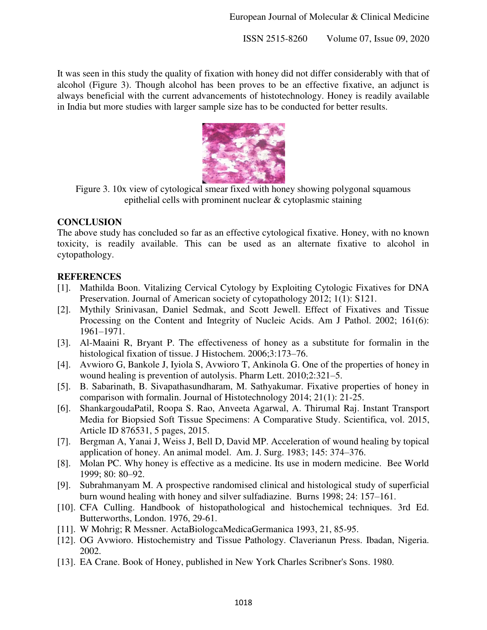It was seen in this study the quality of fixation with honey did not differ considerably with that of alcohol (Figure 3). Though alcohol has been proves to be an effective fixative, an adjunct is always beneficial with the current advancements of histotechnology. Honey is readily available in India but more studies with larger sample size has to be conducted for better results.



Figure 3. 10x view of cytological smear fixed with honey showing polygonal squamous epithelial cells with prominent nuclear & cytoplasmic staining

# **CONCLUSION**

The above study has concluded so far as an effective cytological fixative. Honey, with no known toxicity, is readily available. This can be used as an alternate fixative to alcohol in cytopathology.

# **REFERENCES**

- [1]. Mathilda Boon. Vitalizing Cervical Cytology by Exploiting Cytologic Fixatives for DNA Preservation. Journal of American society of cytopathology 2012; 1(1): S121.
- [2]. Mythily Srinivasan, Daniel Sedmak, and Scott Jewell. Effect of Fixatives and Tissue Processing on the Content and Integrity of Nucleic Acids. Am J Pathol. 2002; 161(6): 1961–1971.
- [3]. Al-Maaini R, Bryant P. The effectiveness of honey as a substitute for formalin in the histological fixation of tissue. J Histochem. 2006;3:173–76.
- [4]. Avwioro G, Bankole J, Iyiola S, Avwioro T, Ankinola G. One of the properties of honey in wound healing is prevention of autolysis. Pharm Lett. 2010;2:321–5.
- [5]. B. Sabarinath, B. Sivapathasundharam, M. Sathyakumar. Fixative properties of honey in comparison with formalin. Journal of Histotechnology 2014; 21(1): 21-25.
- [6]. ShankargoudaPatil, Roopa S. Rao, Anveeta Agarwal, A. Thirumal Raj. Instant Transport Media for Biopsied Soft Tissue Specimens: A Comparative Study. Scientifica, vol. 2015, Article ID 876531, 5 pages, 2015.
- [7]. Bergman A, Yanai J, Weiss J, Bell D, David MP. Acceleration of wound healing by topical application of honey. An animal model. Am. J. Surg. 1983; 145: 374–376.
- [8]. Molan PC. Why honey is effective as a medicine. Its use in modern medicine. Bee World 1999; 80: 80–92.
- [9]. Subrahmanyam M. A prospective randomised clinical and histological study of superficial burn wound healing with honey and silver sulfadiazine. Burns 1998; 24: 157–161.
- [10]. CFA Culling. Handbook of histopathological and histochemical techniques. 3rd Ed. Butterworths, London. 1976, 29-61.
- [11]. W Mohrig; R Messner. ActaBiologcaMedicaGermanica 1993, 21, 85-95.
- [12]. OG Avwioro. Histochemistry and Tissue Pathology. Claverianun Press. Ibadan, Nigeria. 2002.
- [13]. EA Crane. Book of Honey, published in New York Charles Scribner's Sons. 1980.